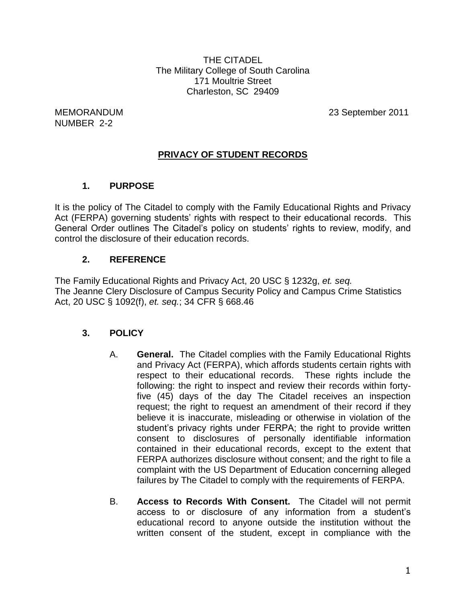THE CITADEL The Military College of South Carolina 171 Moultrie Street Charleston, SC 29409

NUMBER 2-2

MEMORANDUM 23 September 2011

# **PRIVACY OF STUDENT RECORDS**

## **1. PURPOSE**

It is the policy of The Citadel to comply with the Family Educational Rights and Privacy Act (FERPA) governing students' rights with respect to their educational records. This General Order outlines The Citadel's policy on students' rights to review, modify, and control the disclosure of their education records.

## **2. REFERENCE**

The Family Educational Rights and Privacy Act, 20 USC § 1232g, *et. seq.* The Jeanne Clery Disclosure of Campus Security Policy and Campus Crime Statistics Act, 20 USC § 1092(f), *et. seq.*; 34 CFR § 668.46

#### **3. POLICY**

- A. **General.** The Citadel complies with the Family Educational Rights and Privacy Act (FERPA), which affords students certain rights with respect to their educational records. These rights include the following: the right to inspect and review their records within fortyfive (45) days of the day The Citadel receives an inspection request; the right to request an amendment of their record if they believe it is inaccurate, misleading or otherwise in violation of the student's privacy rights under FERPA; the right to provide written consent to disclosures of personally identifiable information contained in their educational records, except to the extent that FERPA authorizes disclosure without consent; and the right to file a complaint with the US Department of Education concerning alleged failures by The Citadel to comply with the requirements of FERPA.
- B. **Access to Records With Consent.** The Citadel will not permit access to or disclosure of any information from a student's educational record to anyone outside the institution without the written consent of the student, except in compliance with the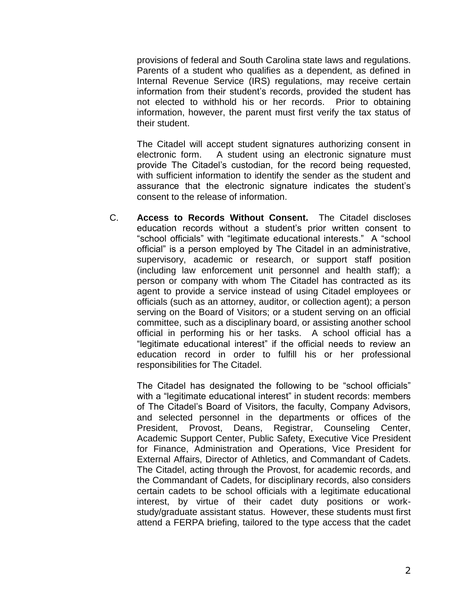provisions of federal and South Carolina state laws and regulations. Parents of a student who qualifies as a dependent, as defined in Internal Revenue Service (IRS) regulations, may receive certain information from their student's records, provided the student has not elected to withhold his or her records. Prior to obtaining information, however, the parent must first verify the tax status of their student.

The Citadel will accept student signatures authorizing consent in electronic form. A student using an electronic signature must provide The Citadel's custodian, for the record being requested, with sufficient information to identify the sender as the student and assurance that the electronic signature indicates the student's consent to the release of information.

C. **Access to Records Without Consent.** The Citadel discloses education records without a student's prior written consent to "school officials" with "legitimate educational interests." A "school official" is a person employed by The Citadel in an administrative, supervisory, academic or research, or support staff position (including law enforcement unit personnel and health staff); a person or company with whom The Citadel has contracted as its agent to provide a service instead of using Citadel employees or officials (such as an attorney, auditor, or collection agent); a person serving on the Board of Visitors; or a student serving on an official committee, such as a disciplinary board, or assisting another school official in performing his or her tasks. A school official has a "legitimate educational interest" if the official needs to review an education record in order to fulfill his or her professional responsibilities for The Citadel.

The Citadel has designated the following to be "school officials" with a "legitimate educational interest" in student records: members of The Citadel's Board of Visitors, the faculty, Company Advisors, and selected personnel in the departments or offices of the President, Provost, Deans, Registrar, Counseling Center, Academic Support Center, Public Safety, Executive Vice President for Finance, Administration and Operations, Vice President for External Affairs, Director of Athletics, and Commandant of Cadets. The Citadel, acting through the Provost, for academic records, and the Commandant of Cadets, for disciplinary records, also considers certain cadets to be school officials with a legitimate educational interest, by virtue of their cadet duty positions or workstudy/graduate assistant status. However, these students must first attend a FERPA briefing, tailored to the type access that the cadet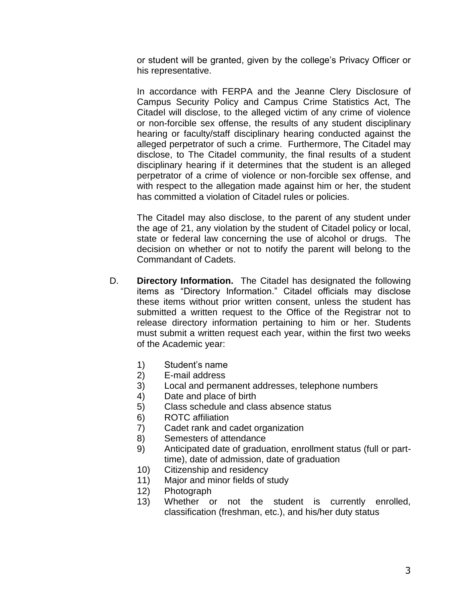or student will be granted, given by the college's Privacy Officer or his representative.

In accordance with FERPA and the Jeanne Clery Disclosure of Campus Security Policy and Campus Crime Statistics Act, The Citadel will disclose, to the alleged victim of any crime of violence or non-forcible sex offense, the results of any student disciplinary hearing or faculty/staff disciplinary hearing conducted against the alleged perpetrator of such a crime. Furthermore, The Citadel may disclose, to The Citadel community, the final results of a student disciplinary hearing if it determines that the student is an alleged perpetrator of a crime of violence or non-forcible sex offense, and with respect to the allegation made against him or her, the student has committed a violation of Citadel rules or policies.

The Citadel may also disclose, to the parent of any student under the age of 21, any violation by the student of Citadel policy or local, state or federal law concerning the use of alcohol or drugs. The decision on whether or not to notify the parent will belong to the Commandant of Cadets.

- D. **Directory Information.** The Citadel has designated the following items as "Directory Information." Citadel officials may disclose these items without prior written consent, unless the student has submitted a written request to the Office of the Registrar not to release directory information pertaining to him or her. Students must submit a written request each year, within the first two weeks of the Academic year:
	- 1) Student's name
	- 2) E-mail address
	- 3) Local and permanent addresses, telephone numbers
	- 4) Date and place of birth
	- 5) Class schedule and class absence status
	- 6) ROTC affiliation
	- 7) Cadet rank and cadet organization
	- 8) Semesters of attendance
	- 9) Anticipated date of graduation, enrollment status (full or parttime), date of admission, date of graduation
	- 10) Citizenship and residency
	- 11) Major and minor fields of study
	- 12) Photograph
	- 13) Whether or not the student is currently enrolled, classification (freshman, etc.), and his/her duty status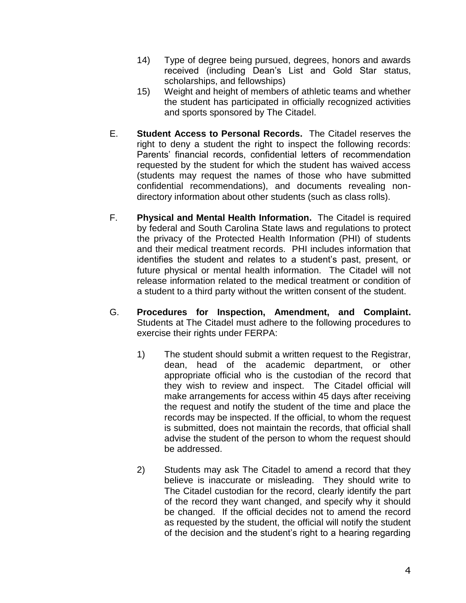- 14) Type of degree being pursued, degrees, honors and awards received (including Dean's List and Gold Star status, scholarships, and fellowships)
- 15) Weight and height of members of athletic teams and whether the student has participated in officially recognized activities and sports sponsored by The Citadel.
- E. **Student Access to Personal Records.** The Citadel reserves the right to deny a student the right to inspect the following records: Parents' financial records, confidential letters of recommendation requested by the student for which the student has waived access (students may request the names of those who have submitted confidential recommendations), and documents revealing nondirectory information about other students (such as class rolls).
- F. **Physical and Mental Health Information.** The Citadel is required by federal and South Carolina State laws and regulations to protect the privacy of the Protected Health Information (PHI) of students and their medical treatment records. PHI includes information that identifies the student and relates to a student's past, present, or future physical or mental health information. The Citadel will not release information related to the medical treatment or condition of a student to a third party without the written consent of the student.
- G. **Procedures for Inspection, Amendment, and Complaint.**  Students at The Citadel must adhere to the following procedures to exercise their rights under FERPA:
	- 1) The student should submit a written request to the Registrar, dean, head of the academic department, or other appropriate official who is the custodian of the record that they wish to review and inspect. The Citadel official will make arrangements for access within 45 days after receiving the request and notify the student of the time and place the records may be inspected. If the official, to whom the request is submitted, does not maintain the records, that official shall advise the student of the person to whom the request should be addressed.
	- 2) Students may ask The Citadel to amend a record that they believe is inaccurate or misleading. They should write to The Citadel custodian for the record, clearly identify the part of the record they want changed, and specify why it should be changed. If the official decides not to amend the record as requested by the student, the official will notify the student of the decision and the student's right to a hearing regarding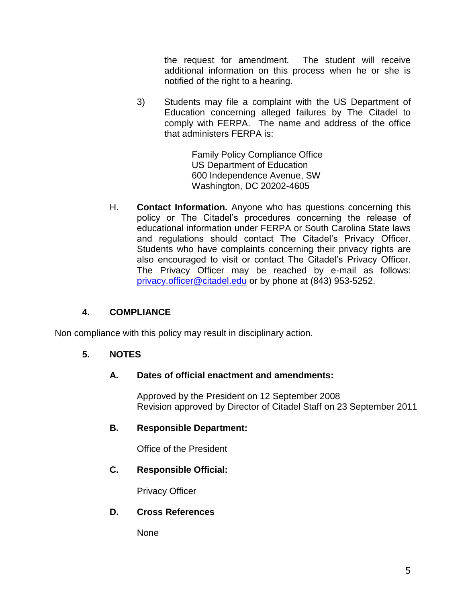the request for amendment. The student will receive additional information on this process when he or she is notified of the right to a hearing.

3) Students may file a complaint with the US Department of Education concerning alleged failures by The Citadel to comply with FERPA. The name and address of the office that administers FERPA is:

> Family Policy Compliance Office US Department of Education 600 Independence Avenue, SW Washington, DC 20202-4605

H. **Contact Information.** Anyone who has questions concerning this policy or The Citadel's procedures concerning the release of educational information under FERPA or South Carolina State laws and regulations should contact The Citadel's Privacy Officer. Students who have complaints concerning their privacy rights are also encouraged to visit or contact The Citadel's Privacy Officer. The Privacy Officer may be reached by e-mail as follows: [privacy.officer@citadel.edu](mailto:privacy.officer@citadel.edu) or by phone at (843) 953-5252.

# **4. COMPLIANCE**

Non compliance with this policy may result in disciplinary action.

## **5. NOTES**

## **A. Dates of official enactment and amendments:**

Approved by the President on 12 September 2008 Revision approved by Director of Citadel Staff on 23 September 2011

#### **B. Responsible Department:**

Office of the President

## **C. Responsible Official:**

Privacy Officer

## **D. Cross References**

None